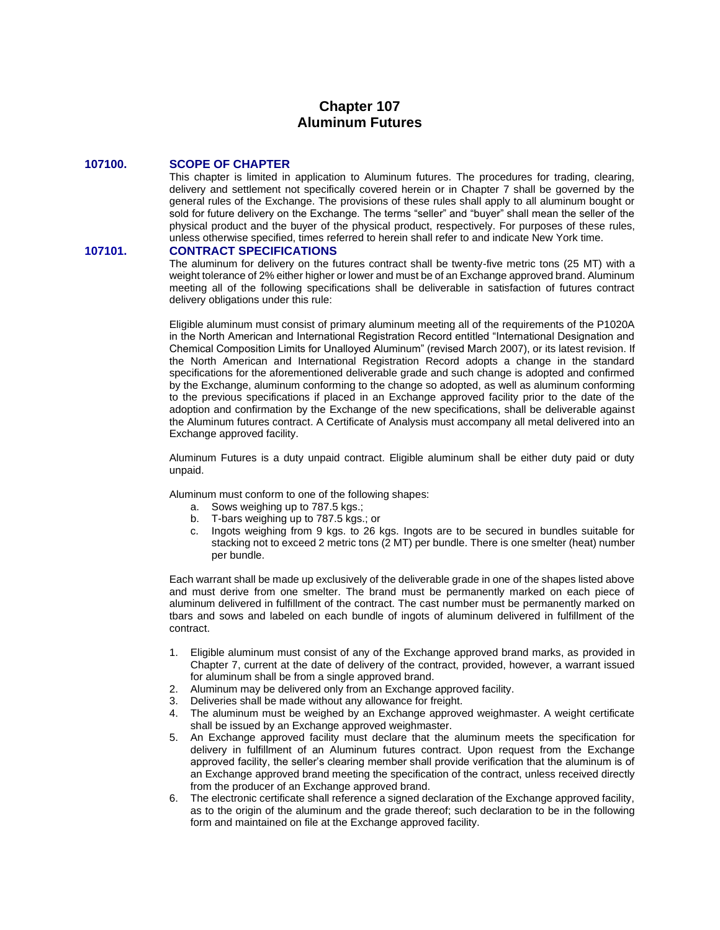# **Chapter 107 Aluminum Futures**

#### **107100. SCOPE OF CHAPTER**

This chapter is limited in application to Aluminum futures. The procedures for trading, clearing, delivery and settlement not specifically covered herein or in Chapter 7 shall be governed by the general rules of the Exchange. The provisions of these rules shall apply to all aluminum bought or sold for future delivery on the Exchange. The terms "seller" and "buyer" shall mean the seller of the physical product and the buyer of the physical product, respectively. For purposes of these rules, unless otherwise specified, times referred to herein shall refer to and indicate New York time.

# **107101. CONTRACT SPECIFICATIONS**

The aluminum for delivery on the futures contract shall be twenty-five metric tons (25 MT) with a weight tolerance of 2% either higher or lower and must be of an Exchange approved brand. Aluminum meeting all of the following specifications shall be deliverable in satisfaction of futures contract delivery obligations under this rule:

Eligible aluminum must consist of primary aluminum meeting all of the requirements of the P1020A in the North American and International Registration Record entitled "International Designation and Chemical Composition Limits for Unalloyed Aluminum" (revised March 2007), or its latest revision. If the North American and International Registration Record adopts a change in the standard specifications for the aforementioned deliverable grade and such change is adopted and confirmed by the Exchange, aluminum conforming to the change so adopted, as well as aluminum conforming to the previous specifications if placed in an Exchange approved facility prior to the date of the adoption and confirmation by the Exchange of the new specifications, shall be deliverable against the Aluminum futures contract. A Certificate of Analysis must accompany all metal delivered into an Exchange approved facility.

Aluminum Futures is a duty unpaid contract. Eligible aluminum shall be either duty paid or duty unpaid.

Aluminum must conform to one of the following shapes:

- a. Sows weighing up to 787.5 kgs.;
- b. T-bars weighing up to 787.5 kgs.; or
- c. Ingots weighing from 9 kgs. to 26 kgs. Ingots are to be secured in bundles suitable for stacking not to exceed 2 metric tons (2 MT) per bundle. There is one smelter (heat) number per bundle.

Each warrant shall be made up exclusively of the deliverable grade in one of the shapes listed above and must derive from one smelter. The brand must be permanently marked on each piece of aluminum delivered in fulfillment of the contract. The cast number must be permanently marked on tbars and sows and labeled on each bundle of ingots of aluminum delivered in fulfillment of the contract.

- 1. Eligible aluminum must consist of any of the Exchange approved brand marks, as provided in Chapter 7, current at the date of delivery of the contract, provided, however, a warrant issued for aluminum shall be from a single approved brand.
- 2. Aluminum may be delivered only from an Exchange approved facility.
- 3. Deliveries shall be made without any allowance for freight.
- 4. The aluminum must be weighed by an Exchange approved weighmaster. A weight certificate shall be issued by an Exchange approved weighmaster.
- 5. An Exchange approved facility must declare that the aluminum meets the specification for delivery in fulfillment of an Aluminum futures contract. Upon request from the Exchange approved facility, the seller's clearing member shall provide verification that the aluminum is of an Exchange approved brand meeting the specification of the contract, unless received directly from the producer of an Exchange approved brand.
- 6. The electronic certificate shall reference a signed declaration of the Exchange approved facility, as to the origin of the aluminum and the grade thereof; such declaration to be in the following form and maintained on file at the Exchange approved facility.